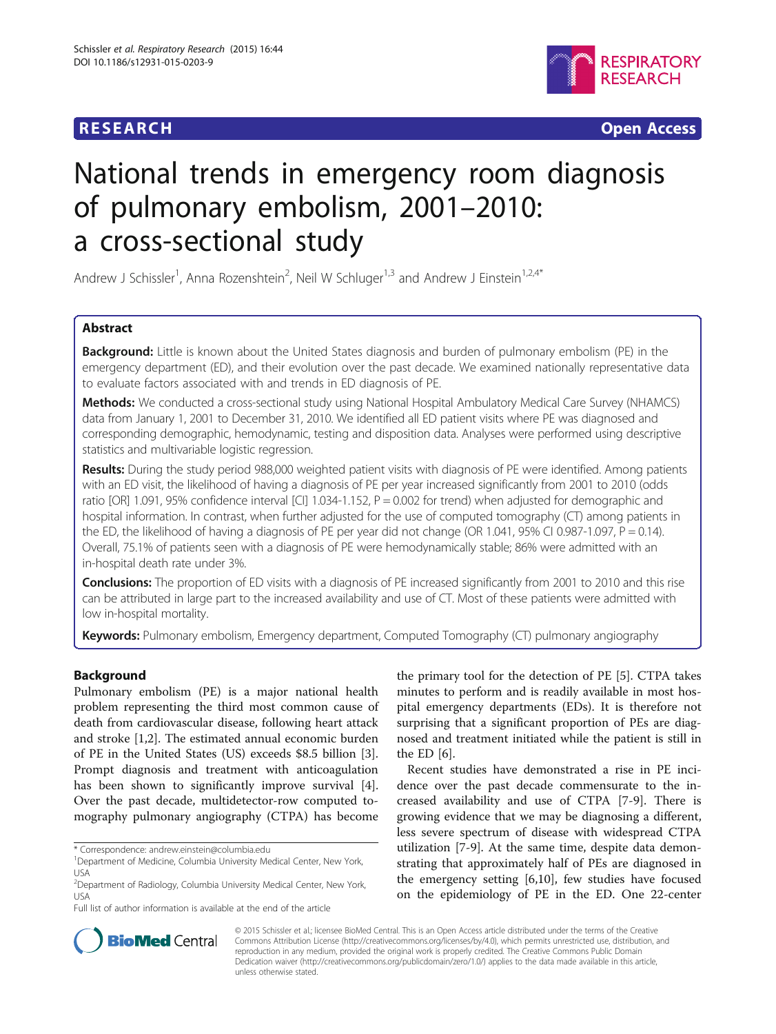# **RESEARCH RESEARCH** *CHECKER CHECKER CHECKER CHECKER CHECKER CHECKER CHECKER CHECKER CHECKER CHECKER CHECKER*



# National trends in emergency room diagnosis of pulmonary embolism, 2001–2010: a cross-sectional study

Andrew J Schissler<sup>1</sup>, Anna Rozenshtein<sup>2</sup>, Neil W Schluger<sup>1,3</sup> and Andrew J Einstein<sup>1,2,4\*</sup>

# Abstract

Background: Little is known about the United States diagnosis and burden of pulmonary embolism (PE) in the emergency department (ED), and their evolution over the past decade. We examined nationally representative data to evaluate factors associated with and trends in ED diagnosis of PE.

Methods: We conducted a cross-sectional study using National Hospital Ambulatory Medical Care Survey (NHAMCS) data from January 1, 2001 to December 31, 2010. We identified all ED patient visits where PE was diagnosed and corresponding demographic, hemodynamic, testing and disposition data. Analyses were performed using descriptive statistics and multivariable logistic regression.

Results: During the study period 988,000 weighted patient visits with diagnosis of PE were identified. Among patients with an ED visit, the likelihood of having a diagnosis of PE per year increased significantly from 2001 to 2010 (odds ratio [OR] 1.091, 95% confidence interval [CI] 1.034-1.152, P = 0.002 for trend) when adjusted for demographic and hospital information. In contrast, when further adjusted for the use of computed tomography (CT) among patients in the ED, the likelihood of having a diagnosis of PE per year did not change (OR 1.041, 95% CI 0.987-1.097, P = 0.14). Overall, 75.1% of patients seen with a diagnosis of PE were hemodynamically stable; 86% were admitted with an in-hospital death rate under 3%.

**Conclusions:** The proportion of ED visits with a diagnosis of PE increased significantly from 2001 to 2010 and this rise can be attributed in large part to the increased availability and use of CT. Most of these patients were admitted with low in-hospital mortality.

Keywords: Pulmonary embolism, Emergency department, Computed Tomography (CT) pulmonary angiography

# Background

Pulmonary embolism (PE) is a major national health problem representing the third most common cause of death from cardiovascular disease, following heart attack and stroke [\[1,2](#page-6-0)]. The estimated annual economic burden of PE in the United States (US) exceeds \$8.5 billion [\[3](#page-6-0)]. Prompt diagnosis and treatment with anticoagulation has been shown to significantly improve survival [\[4](#page-6-0)]. Over the past decade, multidetector-row computed tomography pulmonary angiography (CTPA) has become

Full list of author information is available at the end of the article

the primary tool for the detection of PE [[5\]](#page-6-0). CTPA takes minutes to perform and is readily available in most hospital emergency departments (EDs). It is therefore not surprising that a significant proportion of PEs are diagnosed and treatment initiated while the patient is still in the ED [\[6](#page-6-0)].

Recent studies have demonstrated a rise in PE incidence over the past decade commensurate to the increased availability and use of CTPA [[7-9](#page-6-0)]. There is growing evidence that we may be diagnosing a different, less severe spectrum of disease with widespread CTPA utilization [[7-9](#page-6-0)]. At the same time, despite data demonstrating that approximately half of PEs are diagnosed in the emergency setting [[6,10\]](#page-6-0), few studies have focused on the epidemiology of PE in the ED. One 22-center



© 2015 Schissler et al.; licensee BioMed Central. This is an Open Access article distributed under the terms of the Creative Commons Attribution License [\(http://creativecommons.org/licenses/by/4.0\)](http://creativecommons.org/licenses/by/4.0), which permits unrestricted use, distribution, and reproduction in any medium, provided the original work is properly credited. The Creative Commons Public Domain Dedication waiver [\(http://creativecommons.org/publicdomain/zero/1.0/](http://creativecommons.org/publicdomain/zero/1.0/)) applies to the data made available in this article, unless otherwise stated.

<sup>\*</sup> Correspondence: [andrew.einstein@columbia.edu](mailto:andrew.einstein@columbia.edu) <sup>1</sup>

<sup>&</sup>lt;sup>1</sup>Department of Medicine, Columbia University Medical Center, New York, USA

<sup>&</sup>lt;sup>2</sup>Department of Radiology, Columbia University Medical Center, New York, USA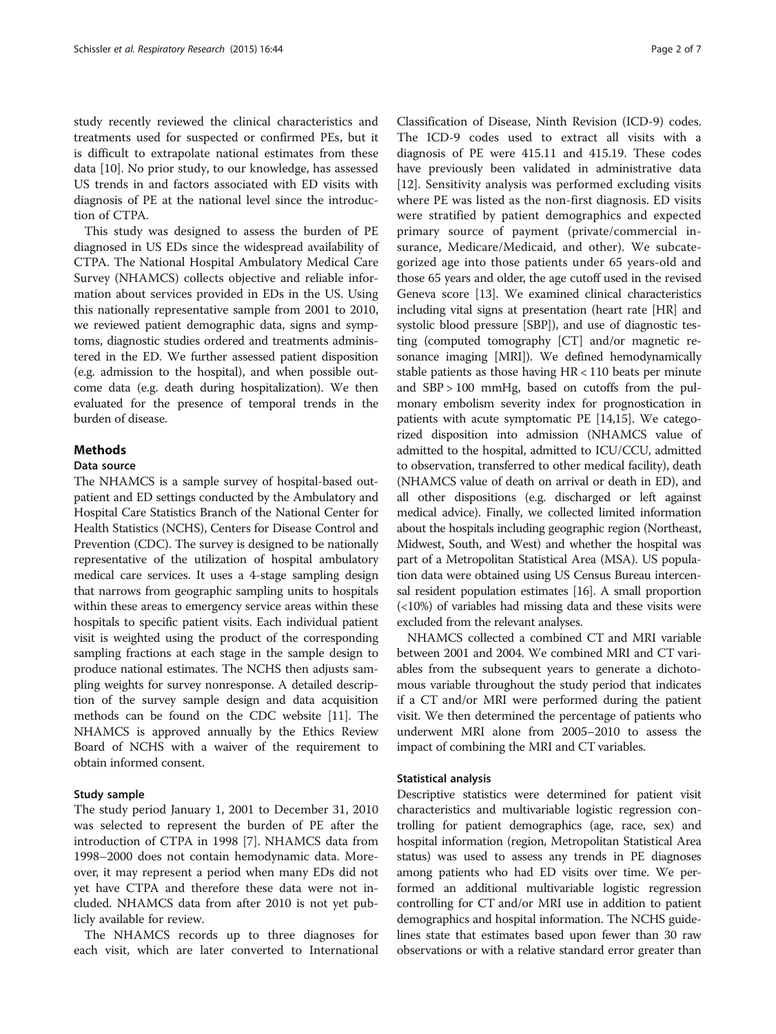study recently reviewed the clinical characteristics and treatments used for suspected or confirmed PEs, but it is difficult to extrapolate national estimates from these data [[10\]](#page-6-0). No prior study, to our knowledge, has assessed US trends in and factors associated with ED visits with diagnosis of PE at the national level since the introduction of CTPA.

This study was designed to assess the burden of PE diagnosed in US EDs since the widespread availability of CTPA. The National Hospital Ambulatory Medical Care Survey (NHAMCS) collects objective and reliable information about services provided in EDs in the US. Using this nationally representative sample from 2001 to 2010, we reviewed patient demographic data, signs and symptoms, diagnostic studies ordered and treatments administered in the ED. We further assessed patient disposition (e.g. admission to the hospital), and when possible outcome data (e.g. death during hospitalization). We then evaluated for the presence of temporal trends in the burden of disease.

# Methods

# Data source

The NHAMCS is a sample survey of hospital-based outpatient and ED settings conducted by the Ambulatory and Hospital Care Statistics Branch of the National Center for Health Statistics (NCHS), Centers for Disease Control and Prevention (CDC). The survey is designed to be nationally representative of the utilization of hospital ambulatory medical care services. It uses a 4-stage sampling design that narrows from geographic sampling units to hospitals within these areas to emergency service areas within these hospitals to specific patient visits. Each individual patient visit is weighted using the product of the corresponding sampling fractions at each stage in the sample design to produce national estimates. The NCHS then adjusts sampling weights for survey nonresponse. A detailed description of the survey sample design and data acquisition methods can be found on the CDC website [[11](#page-6-0)]. The NHAMCS is approved annually by the Ethics Review Board of NCHS with a waiver of the requirement to obtain informed consent.

# Study sample

The study period January 1, 2001 to December 31, 2010 was selected to represent the burden of PE after the introduction of CTPA in 1998 [[7](#page-6-0)]. NHAMCS data from 1998–2000 does not contain hemodynamic data. Moreover, it may represent a period when many EDs did not yet have CTPA and therefore these data were not included. NHAMCS data from after 2010 is not yet publicly available for review.

The NHAMCS records up to three diagnoses for each visit, which are later converted to International

Classification of Disease, Ninth Revision (ICD-9) codes. The ICD-9 codes used to extract all visits with a diagnosis of PE were 415.11 and 415.19. These codes have previously been validated in administrative data [[12\]](#page-6-0). Sensitivity analysis was performed excluding visits where PE was listed as the non-first diagnosis. ED visits were stratified by patient demographics and expected primary source of payment (private/commercial insurance, Medicare/Medicaid, and other). We subcategorized age into those patients under 65 years-old and those 65 years and older, the age cutoff used in the revised Geneva score [[13\]](#page-6-0). We examined clinical characteristics including vital signs at presentation (heart rate [HR] and systolic blood pressure [SBP]), and use of diagnostic testing (computed tomography [CT] and/or magnetic resonance imaging [MRI]). We defined hemodynamically stable patients as those having HR < 110 beats per minute and SBP > 100 mmHg, based on cutoffs from the pulmonary embolism severity index for prognostication in patients with acute symptomatic PE [[14,15\]](#page-6-0). We categorized disposition into admission (NHAMCS value of admitted to the hospital, admitted to ICU/CCU, admitted to observation, transferred to other medical facility), death (NHAMCS value of death on arrival or death in ED), and all other dispositions (e.g. discharged or left against medical advice). Finally, we collected limited information about the hospitals including geographic region (Northeast, Midwest, South, and West) and whether the hospital was part of a Metropolitan Statistical Area (MSA). US population data were obtained using US Census Bureau intercensal resident population estimates [[16](#page-6-0)]. A small proportion (<10%) of variables had missing data and these visits were excluded from the relevant analyses.

NHAMCS collected a combined CT and MRI variable between 2001 and 2004. We combined MRI and CT variables from the subsequent years to generate a dichotomous variable throughout the study period that indicates if a CT and/or MRI were performed during the patient visit. We then determined the percentage of patients who underwent MRI alone from 2005–2010 to assess the impact of combining the MRI and CT variables.

# Statistical analysis

Descriptive statistics were determined for patient visit characteristics and multivariable logistic regression controlling for patient demographics (age, race, sex) and hospital information (region, Metropolitan Statistical Area status) was used to assess any trends in PE diagnoses among patients who had ED visits over time. We performed an additional multivariable logistic regression controlling for CT and/or MRI use in addition to patient demographics and hospital information. The NCHS guidelines state that estimates based upon fewer than 30 raw observations or with a relative standard error greater than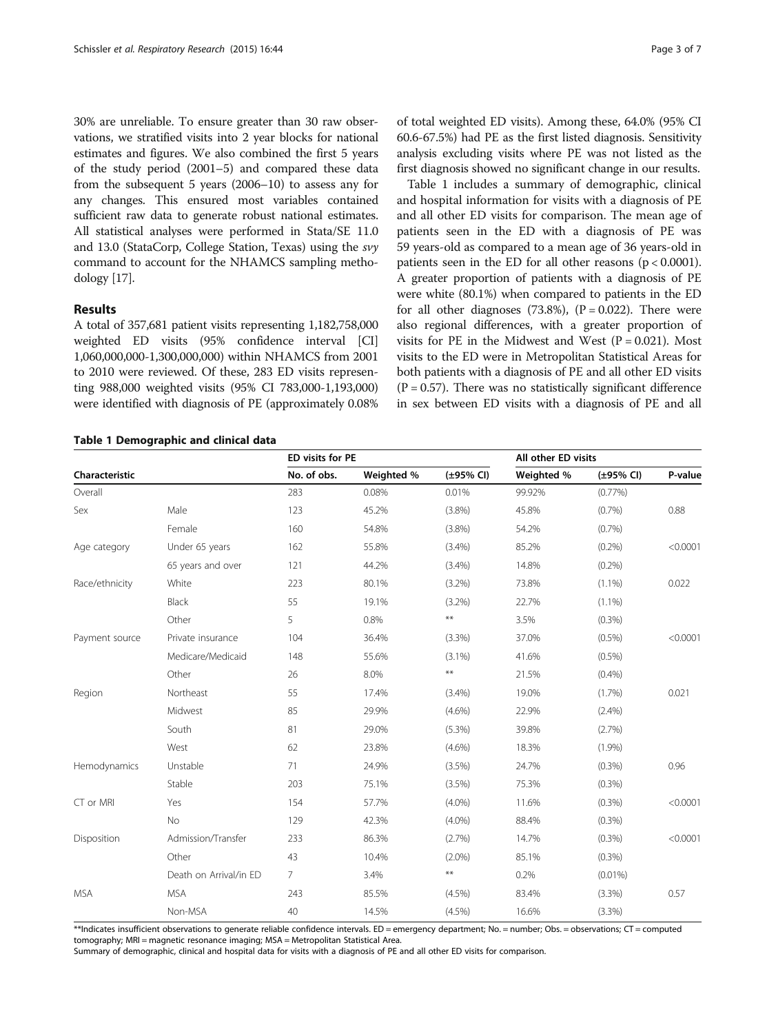30% are unreliable. To ensure greater than 30 raw observations, we stratified visits into 2 year blocks for national estimates and figures. We also combined the first 5 years of the study period (2001–5) and compared these data from the subsequent 5 years (2006–10) to assess any for any changes. This ensured most variables contained sufficient raw data to generate robust national estimates. All statistical analyses were performed in Stata/SE 11.0 and 13.0 (StataCorp, College Station, Texas) using the  $s\nu\gamma$ command to account for the NHAMCS sampling methodology [[17](#page-6-0)].

# Results

A total of 357,681 patient visits representing 1,182,758,000 weighted ED visits (95% confidence interval [CI] 1,060,000,000-1,300,000,000) within NHAMCS from 2001 to 2010 were reviewed. Of these, 283 ED visits representing 988,000 weighted visits (95% CI 783,000-1,193,000) were identified with diagnosis of PE (approximately 0.08% of total weighted ED visits). Among these, 64.0% (95% CI 60.6-67.5%) had PE as the first listed diagnosis. Sensitivity analysis excluding visits where PE was not listed as the first diagnosis showed no significant change in our results.

Table 1 includes a summary of demographic, clinical and hospital information for visits with a diagnosis of PE and all other ED visits for comparison. The mean age of patients seen in the ED with a diagnosis of PE was 59 years-old as compared to a mean age of 36 years-old in patients seen in the ED for all other reasons (p < 0.0001). A greater proportion of patients with a diagnosis of PE were white (80.1%) when compared to patients in the ED for all other diagnoses  $(73.8\%)$ ,  $(P = 0.022)$ . There were also regional differences, with a greater proportion of visits for PE in the Midwest and West  $(P = 0.021)$ . Most visits to the ED were in Metropolitan Statistical Areas for both patients with a diagnosis of PE and all other ED visits  $(P = 0.57)$ . There was no statistically significant difference in sex between ED visits with a diagnosis of PE and all

### Table 1 Demographic and clinical data

|                |                        | ED visits for PE |            |                         | All other ED visits |                         |          |  |
|----------------|------------------------|------------------|------------|-------------------------|---------------------|-------------------------|----------|--|
| Characteristic |                        | No. of obs.      | Weighted % | $(\pm 95\% \text{ Cl})$ | Weighted %          | $(\pm 95\% \text{ Cl})$ | P-value  |  |
| Overall        |                        | 283              | 0.08%      | 0.01%                   | 99.92%              | (0.77%)                 |          |  |
| Sex            | Male                   | 123              | 45.2%      | $(3.8\%)$               | 45.8%               | (0.7%                   | 0.88     |  |
|                | Female                 | 160              | 54.8%      | $(3.8\%)$               | 54.2%               | (0.7%                   |          |  |
| Age category   | Under 65 years         | 162              | 55.8%      | (3.4%)                  | 85.2%               | (0.2%)                  | < 0.0001 |  |
|                | 65 years and over      | 121              | 44.2%      | (3.4%)                  | 14.8%               | (0.2%)                  |          |  |
| Race/ethnicity | White                  | 223              | 80.1%      | $(3.2\%)$               | 73.8%               | $(1.1\%)$               | 0.022    |  |
|                | Black                  | 55               | 19.1%      | (3.2%)                  | 22.7%               | $(1.1\%)$               |          |  |
|                | Other                  | 5                | 0.8%       | $***$                   | 3.5%                | (0.3%)                  |          |  |
| Payment source | Private insurance      | 104              | 36.4%      | (3.3%)                  | 37.0%               | $(0.5\%)$               | < 0.0001 |  |
|                | Medicare/Medicaid      | 148              | 55.6%      | $(3.1\%)$               | 41.6%               | $(0.5\%)$               |          |  |
|                | Other                  | 26               | 8.0%       | $***$                   | 21.5%               | (0.4% )                 |          |  |
| Region         | Northeast              | 55               | 17.4%      | (3.4%)                  | 19.0%               | (1.7%)                  | 0.021    |  |
|                | Midwest                | 85               | 29.9%      | $(4.6\%)$               | 22.9%               | (2.4%)                  |          |  |
|                | South                  | 81               | 29.0%      | $(5.3\%)$               | 39.8%               | (2.7%)                  |          |  |
|                | West                   | 62               | 23.8%      | $(4.6\%)$               | 18.3%               | (1.9%)                  |          |  |
| Hemodynamics   | Unstable               | 71               | 24.9%      | (3.5%)                  | 24.7%               | (0.3% )                 | 0.96     |  |
|                | Stable                 | 203              | 75.1%      | (3.5%)                  | 75.3%               | (0.3%)                  |          |  |
| CT or MRI      | Yes                    | 154              | 57.7%      | $(4.0\%)$               | 11.6%               | (0.3%)                  | < 0.0001 |  |
|                | <b>No</b>              | 129              | 42.3%      | $(4.0\%)$               | 88.4%               | (0.3%)                  |          |  |
| Disposition    | Admission/Transfer     | 233              | 86.3%      | (2.7%)                  | 14.7%               | (0.3%)                  | < 0.0001 |  |
|                | Other                  | 43               | 10.4%      | $(2.0\%)$               | 85.1%               | $(0.3\%)$               |          |  |
|                | Death on Arrival/in ED | $\overline{7}$   | 3.4%       | $***$                   | 0.2%                | $(0.01\%)$              |          |  |
| <b>MSA</b>     | <b>MSA</b>             | 243              | 85.5%      | $(4.5\%)$               | 83.4%               | (3.3%)                  | 0.57     |  |
|                | Non-MSA                | 40               | 14.5%      | $(4.5\%)$               | 16.6%               | (3.3%)                  |          |  |

\*\*Indicates insufficient observations to generate reliable confidence intervals. ED = emergency department; No. = number; Obs. = observations; CT = computed tomography; MRI = magnetic resonance imaging; MSA = Metropolitan Statistical Area.

Summary of demographic, clinical and hospital data for visits with a diagnosis of PE and all other ED visits for comparison.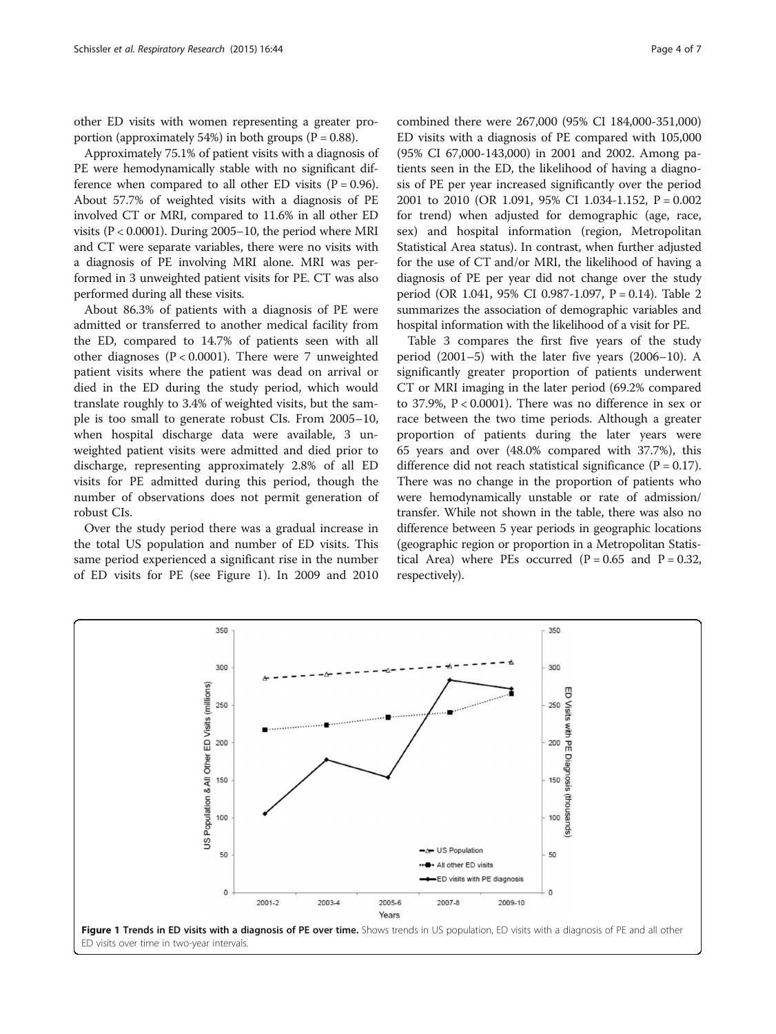other ED visits with women representing a greater proportion (approximately 54%) in both groups ( $P = 0.88$ ).

Approximately 75.1% of patient visits with a diagnosis of PE were hemodynamically stable with no significant difference when compared to all other ED visits  $(P = 0.96)$ . About 57.7% of weighted visits with a diagnosis of PE involved CT or MRI, compared to 11.6% in all other ED visits (P < 0.0001). During 2005–10, the period where MRI and CT were separate variables, there were no visits with a diagnosis of PE involving MRI alone. MRI was performed in 3 unweighted patient visits for PE. CT was also performed during all these visits.

About 86.3% of patients with a diagnosis of PE were admitted or transferred to another medical facility from the ED, compared to 14.7% of patients seen with all other diagnoses (P < 0.0001). There were 7 unweighted patient visits where the patient was dead on arrival or died in the ED during the study period, which would translate roughly to 3.4% of weighted visits, but the sample is too small to generate robust CIs. From 2005–10, when hospital discharge data were available, 3 unweighted patient visits were admitted and died prior to discharge, representing approximately 2.8% of all ED visits for PE admitted during this period, though the number of observations does not permit generation of robust CIs.

Over the study period there was a gradual increase in the total US population and number of ED visits. This same period experienced a significant rise in the number of ED visits for PE (see Figure 1). In 2009 and 2010

combined there were 267,000 (95% CI 184,000-351,000) ED visits with a diagnosis of PE compared with 105,000 (95% CI 67,000-143,000) in 2001 and 2002. Among patients seen in the ED, the likelihood of having a diagnosis of PE per year increased significantly over the period 2001 to 2010 (OR 1.091, 95% CI 1.034-1.152, P = 0.002 for trend) when adjusted for demographic (age, race, sex) and hospital information (region, Metropolitan Statistical Area status). In contrast, when further adjusted for the use of CT and/or MRI, the likelihood of having a diagnosis of PE per year did not change over the study period (OR 1.041, 95% CI 0.987-1.097, P = 0.14). Table [2](#page-4-0) summarizes the association of demographic variables and hospital information with the likelihood of a visit for PE.

Table [3](#page-4-0) compares the first five years of the study period (2001–5) with the later five years (2006–10). A significantly greater proportion of patients underwent CT or MRI imaging in the later period (69.2% compared to 37.9%, P < 0.0001). There was no difference in sex or race between the two time periods. Although a greater proportion of patients during the later years were 65 years and over (48.0% compared with 37.7%), this difference did not reach statistical significance  $(P = 0.17)$ . There was no change in the proportion of patients who were hemodynamically unstable or rate of admission/ transfer. While not shown in the table, there was also no difference between 5 year periods in geographic locations (geographic region or proportion in a Metropolitan Statistical Area) where PEs occurred  $(P = 0.65$  and  $P = 0.32$ , respectively).

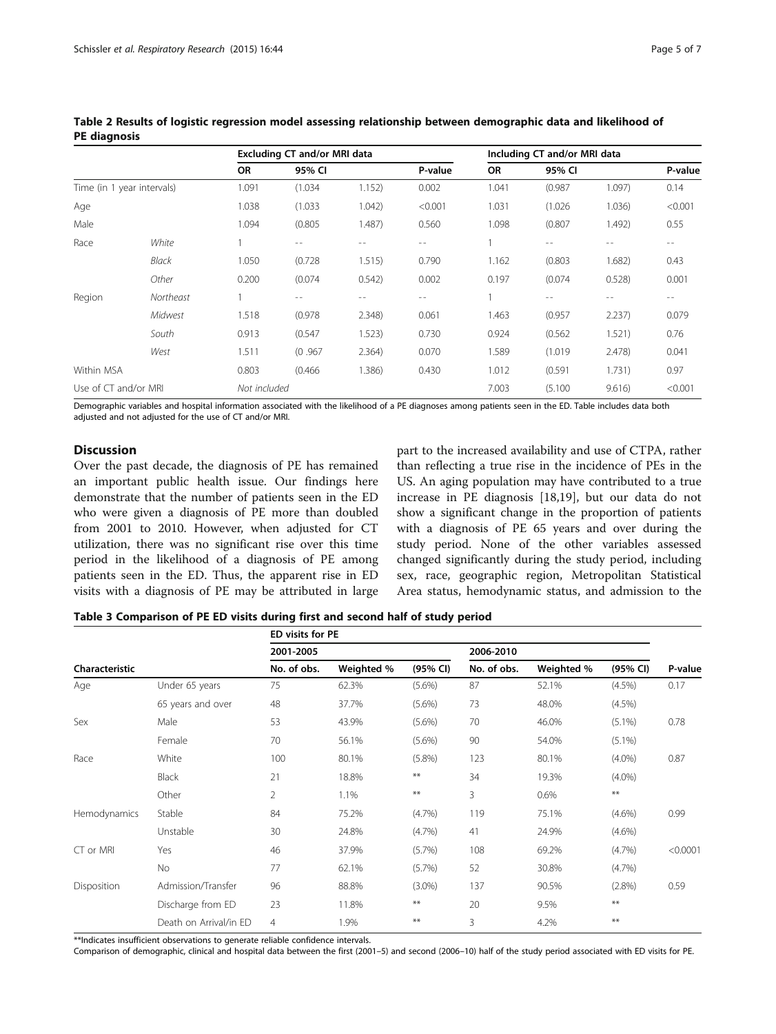|                            |           | Excluding CT and/or MRI data |         |        |         | Including CT and/or MRI data |         |           |         |  |
|----------------------------|-----------|------------------------------|---------|--------|---------|------------------------------|---------|-----------|---------|--|
|                            |           | OR                           | 95% CI  |        | P-value | OR                           | 95% CI  |           | P-value |  |
| Time (in 1 year intervals) |           | 1.091                        | (1.034) | 1.152) | 0.002   | 1.041                        | (0.987) | $1.097$ ) | 0.14    |  |
| Age                        |           | 1.038                        | (1.033) | 1.042) | < 0.001 | 1.031                        | (1.026) | 1.036)    | < 0.001 |  |
| Male                       |           | 1.094                        | (0.805) | 1.487  | 0.560   | 1.098                        | (0.807) | 1.492)    | 0.55    |  |
| Race                       | White     |                              | $- -$   | $- -$  | $- -$   |                              | $- -$   | $- -$     | $- -$   |  |
|                            | Black     | 1.050                        | (0.728) | 1.515) | 0.790   | 1.162                        | (0.803) | 1.682)    | 0.43    |  |
|                            | Other     | 0.200                        | (0.074) | 0.542) | 0.002   | 0.197                        | (0.074) | 0.528     | 0.001   |  |
| Region                     | Northeast |                              | $- -$   | $- -$  | $- -$   |                              | $- -$   | $- -$     | $- -$   |  |
|                            | Midwest   | 1.518                        | (0.978) | 2.348  | 0.061   | 1.463                        | (0.957) | 2.237     | 0.079   |  |
|                            | South     | 0.913                        | (0.547) | 1.523) | 0.730   | 0.924                        | (0.562) | 1.521)    | 0.76    |  |
|                            | West      | 1.511                        | (0.967) | 2.364) | 0.070   | 1.589                        | (1.019) | 2.478)    | 0.041   |  |
| Within MSA                 |           | 0.803                        | (0.466) | 1.386) | 0.430   | 1.012                        | (0.591) | 1.731)    | 0.97    |  |
| Use of CT and/or MRI       |           | Not included                 |         |        |         | 7.003                        | (5.100) | 9.616     | < 0.001 |  |

<span id="page-4-0"></span>Table 2 Results of logistic regression model assessing relationship between demographic data and likelihood of PE diagnosis

Demographic variables and hospital information associated with the likelihood of a PE diagnoses among patients seen in the ED. Table includes data both adjusted and not adjusted for the use of CT and/or MRI.

# Discussion

Over the past decade, the diagnosis of PE has remained an important public health issue. Our findings here demonstrate that the number of patients seen in the ED who were given a diagnosis of PE more than doubled from 2001 to 2010. However, when adjusted for CT utilization, there was no significant rise over this time period in the likelihood of a diagnosis of PE among patients seen in the ED. Thus, the apparent rise in ED visits with a diagnosis of PE may be attributed in large part to the increased availability and use of CTPA, rather than reflecting a true rise in the incidence of PEs in the US. An aging population may have contributed to a true increase in PE diagnosis [[18](#page-6-0),[19](#page-6-0)], but our data do not show a significant change in the proportion of patients with a diagnosis of PE 65 years and over during the study period. None of the other variables assessed changed significantly during the study period, including sex, race, geographic region, Metropolitan Statistical Area status, hemodynamic status, and admission to the

Table 3 Comparison of PE ED visits during first and second half of study period

|                |                        | <b>ED visits for PE</b> |            |           |             |            |                        |          |
|----------------|------------------------|-------------------------|------------|-----------|-------------|------------|------------------------|----------|
|                |                        | 2001-2005               |            |           | 2006-2010   |            |                        |          |
| Characteristic |                        | No. of obs.             | Weighted % | (95% CI)  | No. of obs. | Weighted % | (95% CI)               | P-value  |
| Age            | Under 65 years         | 75                      | 62.3%      | $(5.6\%)$ | 87          | 52.1%      | $(4.5\%)$              | 0.17     |
|                | 65 years and over      | 48                      | 37.7%      | $(5.6\%)$ | 73          | 48.0%      | $(4.5\%)$              |          |
| Sex            | Male                   | 53                      | 43.9%      | $(5.6\%)$ | 70          | 46.0%      | $(5.1\%)$              | 0.78     |
|                | Female                 | 70                      | 56.1%      | $(5.6\%)$ | 90          | 54.0%      | $(5.1\%)$              |          |
| Race           | White                  | 100                     | 80.1%      | $(5.8\%)$ | 123         | 80.1%      | $(4.0\%)$              | 0.87     |
|                | Black                  | 21                      | 18.8%      | $***$     | 34          | 19.3%      | $(4.0\%)$              |          |
|                | Other                  | $\overline{2}$          | 1.1%       | $***$     | 3           | 0.6%       | $\pmb{\ast}\pmb{\ast}$ |          |
| Hemodynamics   | Stable                 | 84                      | 75.2%      | (4.7%)    | 119         | 75.1%      | $(4.6\%)$              | 0.99     |
|                | Unstable               | 30                      | 24.8%      | $(4.7\%)$ | 41          | 24.9%      | $(4.6\%)$              |          |
| CT or MRI      | Yes                    | 46                      | 37.9%      | $(5.7\%)$ | 108         | 69.2%      | (4.7%)                 | < 0.0001 |
|                | No                     | 77                      | 62.1%      | $(5.7\%)$ | 52          | 30.8%      | (4.7%)                 |          |
| Disposition    | Admission/Transfer     | 96                      | 88.8%      | $(3.0\%)$ | 137         | 90.5%      | $(2.8\%)$              | 0.59     |
|                | Discharge from ED      | 23                      | 11.8%      | $***$     | 20          | 9.5%       | $***$                  |          |
|                | Death on Arrival/in ED | $\overline{4}$          | 1.9%       | $**$      | 3           | 4.2%       | $***$                  |          |

\*\*Indicates insufficient observations to generate reliable confidence intervals.

Comparison of demographic, clinical and hospital data between the first (2001–5) and second (2006–10) half of the study period associated with ED visits for PE.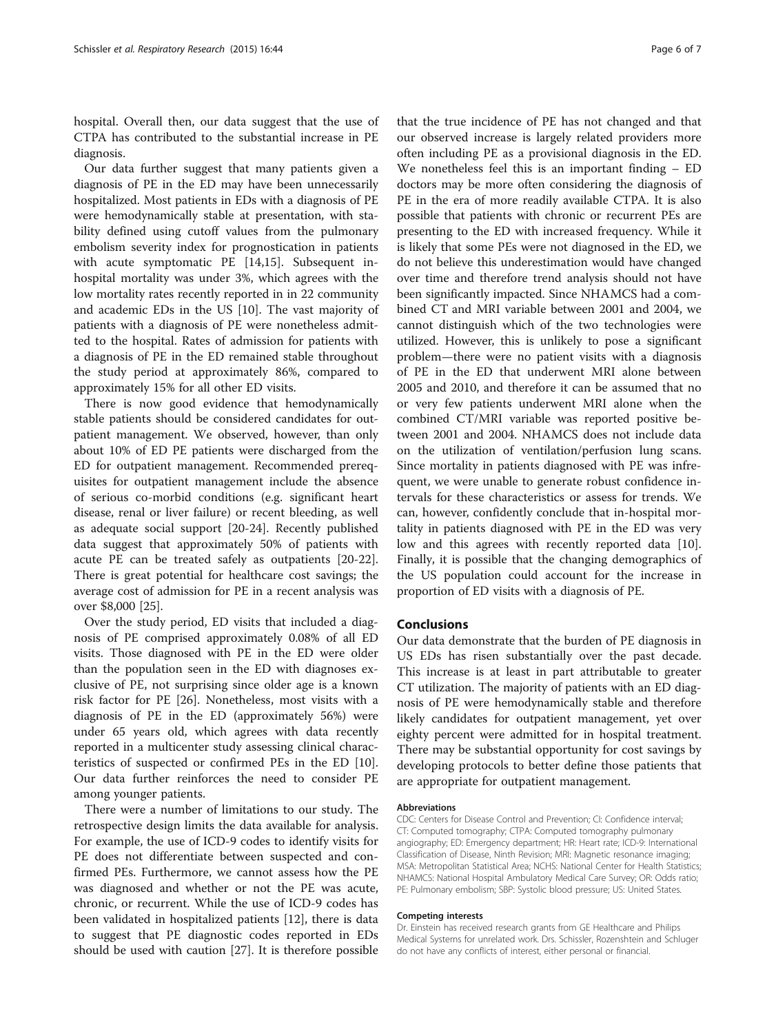hospital. Overall then, our data suggest that the use of CTPA has contributed to the substantial increase in PE diagnosis.

Our data further suggest that many patients given a diagnosis of PE in the ED may have been unnecessarily hospitalized. Most patients in EDs with a diagnosis of PE were hemodynamically stable at presentation, with stability defined using cutoff values from the pulmonary embolism severity index for prognostication in patients with acute symptomatic PE [[14,15\]](#page-6-0). Subsequent inhospital mortality was under 3%, which agrees with the low mortality rates recently reported in in 22 community and academic EDs in the US [[10\]](#page-6-0). The vast majority of patients with a diagnosis of PE were nonetheless admitted to the hospital. Rates of admission for patients with a diagnosis of PE in the ED remained stable throughout the study period at approximately 86%, compared to approximately 15% for all other ED visits.

There is now good evidence that hemodynamically stable patients should be considered candidates for outpatient management. We observed, however, than only about 10% of ED PE patients were discharged from the ED for outpatient management. Recommended prerequisites for outpatient management include the absence of serious co-morbid conditions (e.g. significant heart disease, renal or liver failure) or recent bleeding, as well as adequate social support [\[20-24](#page-6-0)]. Recently published data suggest that approximately 50% of patients with acute PE can be treated safely as outpatients [\[20-22](#page-6-0)]. There is great potential for healthcare cost savings; the average cost of admission for PE in a recent analysis was over \$8,000 [\[25\]](#page-6-0).

Over the study period, ED visits that included a diagnosis of PE comprised approximately 0.08% of all ED visits. Those diagnosed with PE in the ED were older than the population seen in the ED with diagnoses exclusive of PE, not surprising since older age is a known risk factor for PE [[26](#page-6-0)]. Nonetheless, most visits with a diagnosis of PE in the ED (approximately 56%) were under 65 years old, which agrees with data recently reported in a multicenter study assessing clinical characteristics of suspected or confirmed PEs in the ED [\[10](#page-6-0)]. Our data further reinforces the need to consider PE among younger patients.

There were a number of limitations to our study. The retrospective design limits the data available for analysis. For example, the use of ICD-9 codes to identify visits for PE does not differentiate between suspected and confirmed PEs. Furthermore, we cannot assess how the PE was diagnosed and whether or not the PE was acute, chronic, or recurrent. While the use of ICD-9 codes has been validated in hospitalized patients [[12\]](#page-6-0), there is data to suggest that PE diagnostic codes reported in EDs should be used with caution [[27\]](#page-6-0). It is therefore possible

that the true incidence of PE has not changed and that our observed increase is largely related providers more often including PE as a provisional diagnosis in the ED. We nonetheless feel this is an important finding – ED doctors may be more often considering the diagnosis of PE in the era of more readily available CTPA. It is also possible that patients with chronic or recurrent PEs are presenting to the ED with increased frequency. While it is likely that some PEs were not diagnosed in the ED, we do not believe this underestimation would have changed over time and therefore trend analysis should not have been significantly impacted. Since NHAMCS had a combined CT and MRI variable between 2001 and 2004, we cannot distinguish which of the two technologies were utilized. However, this is unlikely to pose a significant problem—there were no patient visits with a diagnosis of PE in the ED that underwent MRI alone between 2005 and 2010, and therefore it can be assumed that no or very few patients underwent MRI alone when the combined CT/MRI variable was reported positive between 2001 and 2004. NHAMCS does not include data on the utilization of ventilation/perfusion lung scans. Since mortality in patients diagnosed with PE was infrequent, we were unable to generate robust confidence intervals for these characteristics or assess for trends. We can, however, confidently conclude that in-hospital mortality in patients diagnosed with PE in the ED was very low and this agrees with recently reported data [\[10](#page-6-0)]. Finally, it is possible that the changing demographics of the US population could account for the increase in proportion of ED visits with a diagnosis of PE.

# Conclusions

Our data demonstrate that the burden of PE diagnosis in US EDs has risen substantially over the past decade. This increase is at least in part attributable to greater CT utilization. The majority of patients with an ED diagnosis of PE were hemodynamically stable and therefore likely candidates for outpatient management, yet over eighty percent were admitted for in hospital treatment. There may be substantial opportunity for cost savings by developing protocols to better define those patients that are appropriate for outpatient management.

#### Abbreviations

CDC: Centers for Disease Control and Prevention; CI: Confidence interval; CT: Computed tomography; CTPA: Computed tomography pulmonary angiography; ED: Emergency department; HR: Heart rate; ICD-9: International Classification of Disease, Ninth Revision; MRI: Magnetic resonance imaging; MSA: Metropolitan Statistical Area; NCHS: National Center for Health Statistics; NHAMCS: National Hospital Ambulatory Medical Care Survey; OR: Odds ratio; PE: Pulmonary embolism; SBP: Systolic blood pressure; US: United States.

#### Competing interests

Dr. Einstein has received research grants from GE Healthcare and Philips Medical Systems for unrelated work. Drs. Schissler, Rozenshtein and Schluger do not have any conflicts of interest, either personal or financial.